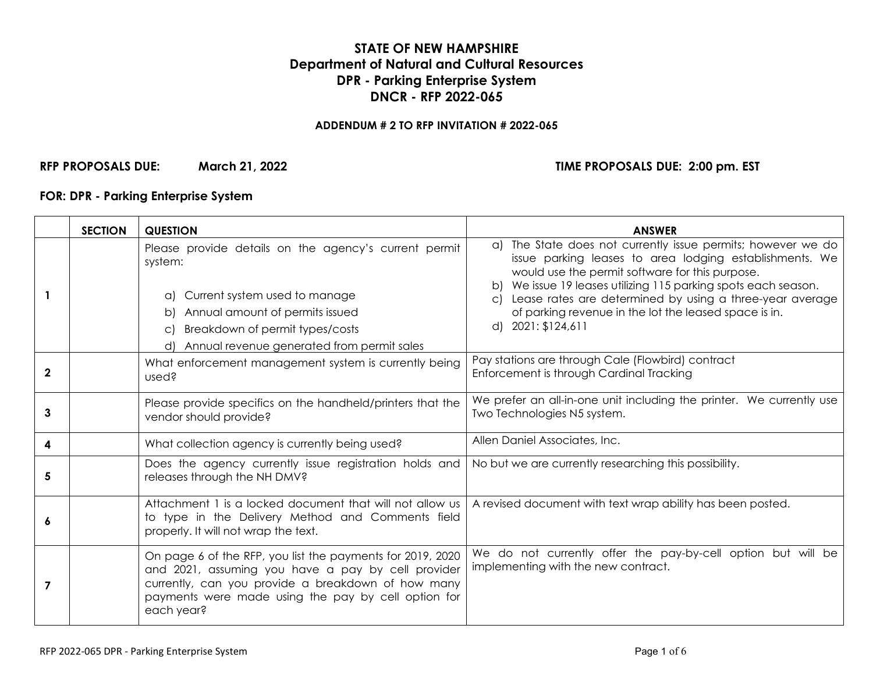# **STATE OF NEW HAMPSHIRE Department of Natural and Cultural Resources DPR - Parking Enterprise System DNCR - RFP 2022-065**

#### **ADDENDUM # 2 TO RFP INVITATION # 2022-065**

# **RFP PROPOSALS DUE: March 21, 2022 TIME PROPOSALS DUE: 2:00 pm. EST**

# **FOR: DPR - Parking Enterprise System**

|              | <b>SECTION</b> | <b>QUESTION</b>                                                                                                                                                                                                                                          | <b>ANSWER</b>                                                                                                                                                                                                                                                                                                                                                                              |
|--------------|----------------|----------------------------------------------------------------------------------------------------------------------------------------------------------------------------------------------------------------------------------------------------------|--------------------------------------------------------------------------------------------------------------------------------------------------------------------------------------------------------------------------------------------------------------------------------------------------------------------------------------------------------------------------------------------|
|              |                | Please provide details on the agency's current permit<br>system:<br>Current system used to manage<br>(C)<br>Annual amount of permits issued<br>bl<br>Breakdown of permit types/costs<br>$\mathsf{C}$<br>Annual revenue generated from permit sales<br>d) | a) The State does not currently issue permits; however we do<br>issue parking leases to area lodging establishments. We<br>would use the permit software for this purpose.<br>We issue 19 leases utilizing 115 parking spots each season.<br>Lease rates are determined by using a three-year average<br>C)<br>of parking revenue in the lot the leased space is in.<br>d) 2021: \$124,611 |
| $\mathbf{2}$ |                | What enforcement management system is currently being<br>used?                                                                                                                                                                                           | Pay stations are through Cale (Flowbird) contract<br>Enforcement is through Cardinal Tracking                                                                                                                                                                                                                                                                                              |
| 3            |                | Please provide specifics on the handheld/printers that the<br>vendor should provide?                                                                                                                                                                     | We prefer an all-in-one unit including the printer. We currently use<br>Two Technologies N5 system.                                                                                                                                                                                                                                                                                        |
| 4            |                | What collection agency is currently being used?                                                                                                                                                                                                          | Allen Daniel Associates, Inc.                                                                                                                                                                                                                                                                                                                                                              |
| 5            |                | Does the agency currently issue registration holds and<br>releases through the NH DMV?                                                                                                                                                                   | No but we are currently researching this possibility.                                                                                                                                                                                                                                                                                                                                      |
| 6            |                | Attachment 1 is a locked document that will not allow us<br>to type in the Delivery Method and Comments field<br>properly. It will not wrap the text.                                                                                                    | A revised document with text wrap ability has been posted.                                                                                                                                                                                                                                                                                                                                 |
| 7            |                | On page 6 of the RFP, you list the payments for 2019, 2020<br>and 2021, assuming you have a pay by cell provider<br>currently, can you provide a breakdown of how many<br>payments were made using the pay by cell option for<br>each year?              | We do not currently offer the pay-by-cell option but will be<br>implementing with the new contract.                                                                                                                                                                                                                                                                                        |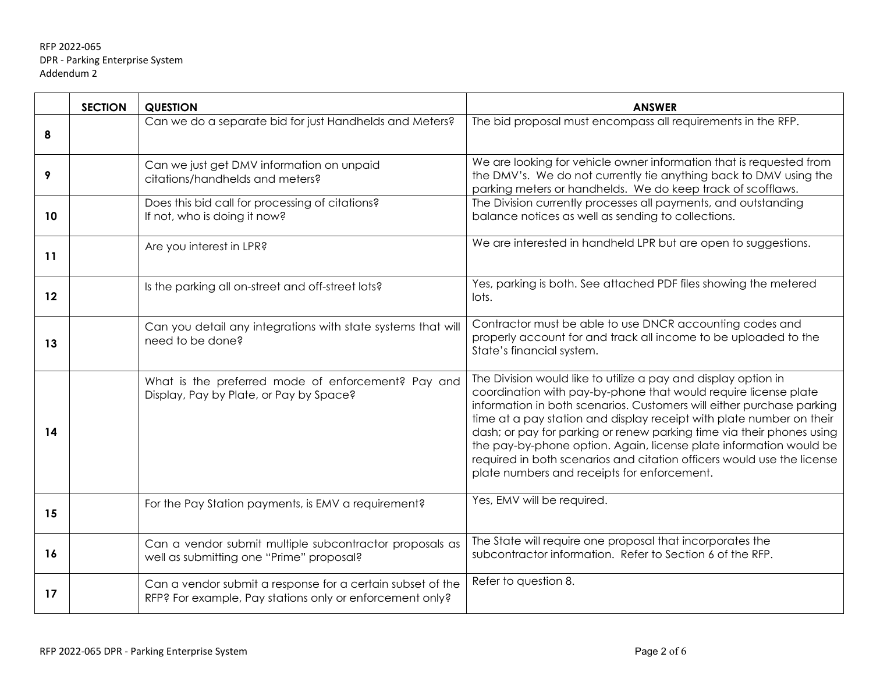|    | <b>SECTION</b> | <b>QUESTION</b>                                                                                                        | <b>ANSWER</b>                                                                                                                                                                                                                                                                                                                                                                                                                                                                                                                                              |
|----|----------------|------------------------------------------------------------------------------------------------------------------------|------------------------------------------------------------------------------------------------------------------------------------------------------------------------------------------------------------------------------------------------------------------------------------------------------------------------------------------------------------------------------------------------------------------------------------------------------------------------------------------------------------------------------------------------------------|
| 8  |                | Can we do a separate bid for just Handhelds and Meters?                                                                | The bid proposal must encompass all requirements in the RFP.                                                                                                                                                                                                                                                                                                                                                                                                                                                                                               |
| 9  |                | Can we just get DMV information on unpaid<br>citations/handhelds and meters?                                           | We are looking for vehicle owner information that is requested from<br>the DMV's. We do not currently tie anything back to DMV using the<br>parking meters or handhelds. We do keep track of scofflaws.                                                                                                                                                                                                                                                                                                                                                    |
| 10 |                | Does this bid call for processing of citations?<br>If not, who is doing it now?                                        | The Division currently processes all payments, and outstanding<br>balance notices as well as sending to collections.                                                                                                                                                                                                                                                                                                                                                                                                                                       |
| 11 |                | Are you interest in LPR?                                                                                               | We are interested in handheld LPR but are open to suggestions.                                                                                                                                                                                                                                                                                                                                                                                                                                                                                             |
| 12 |                | Is the parking all on-street and off-street lots?                                                                      | Yes, parking is both. See attached PDF files showing the metered<br>lots.                                                                                                                                                                                                                                                                                                                                                                                                                                                                                  |
| 13 |                | Can you detail any integrations with state systems that will<br>need to be done?                                       | Contractor must be able to use DNCR accounting codes and<br>properly account for and track all income to be uploaded to the<br>State's financial system.                                                                                                                                                                                                                                                                                                                                                                                                   |
| 14 |                | What is the preferred mode of enforcement? Pay and<br>Display, Pay by Plate, or Pay by Space?                          | The Division would like to utilize a pay and display option in<br>coordination with pay-by-phone that would require license plate<br>information in both scenarios. Customers will either purchase parking<br>time at a pay station and display receipt with plate number on their<br>dash; or pay for parking or renew parking time via their phones using<br>the pay-by-phone option. Again, license plate information would be<br>required in both scenarios and citation officers would use the license<br>plate numbers and receipts for enforcement. |
| 15 |                | For the Pay Station payments, is EMV a requirement?                                                                    | Yes, EMV will be required.                                                                                                                                                                                                                                                                                                                                                                                                                                                                                                                                 |
| 16 |                | Can a vendor submit multiple subcontractor proposals as<br>well as submitting one "Prime" proposal?                    | The State will require one proposal that incorporates the<br>subcontractor information. Refer to Section 6 of the RFP.                                                                                                                                                                                                                                                                                                                                                                                                                                     |
| 17 |                | Can a vendor submit a response for a certain subset of the<br>RFP? For example, Pay stations only or enforcement only? | Refer to question 8.                                                                                                                                                                                                                                                                                                                                                                                                                                                                                                                                       |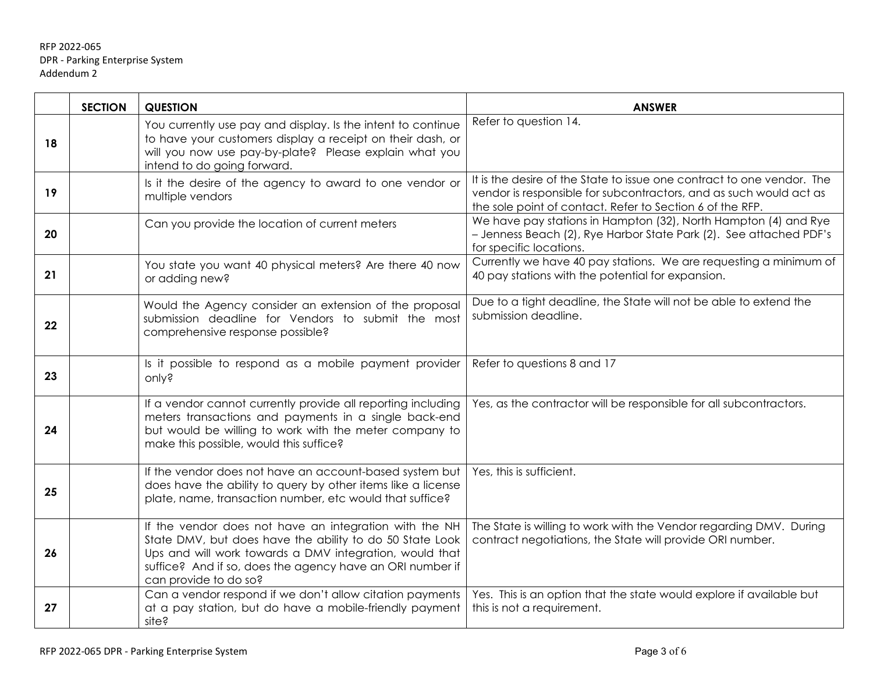|         | <b>SECTION</b> | <b>QUESTION</b>                                                                                                                                                                                                                                                     | <b>ANSWER</b>                                                                                                                                                                                             |
|---------|----------------|---------------------------------------------------------------------------------------------------------------------------------------------------------------------------------------------------------------------------------------------------------------------|-----------------------------------------------------------------------------------------------------------------------------------------------------------------------------------------------------------|
| 18      |                | You currently use pay and display. Is the intent to continue<br>to have your customers display a receipt on their dash, or<br>will you now use pay-by-plate? Please explain what you<br>intend to do going forward.                                                 | Refer to question 14.                                                                                                                                                                                     |
| 19      |                | Is it the desire of the agency to award to one vendor or<br>multiple vendors                                                                                                                                                                                        | It is the desire of the State to issue one contract to one vendor. The<br>vendor is responsible for subcontractors, and as such would act as<br>the sole point of contact. Refer to Section 6 of the RFP. |
| 20      |                | Can you provide the location of current meters                                                                                                                                                                                                                      | We have pay stations in Hampton (32), North Hampton (4) and Rye<br>- Jenness Beach (2), Rye Harbor State Park (2). See attached PDF's<br>for specific locations.                                          |
| 21      |                | You state you want 40 physical meters? Are there 40 now<br>or adding new?                                                                                                                                                                                           | Currently we have 40 pay stations. We are requesting a minimum of<br>40 pay stations with the potential for expansion.                                                                                    |
| $22 \,$ |                | Would the Agency consider an extension of the proposal<br>submission deadline for Vendors to submit the most<br>comprehensive response possible?                                                                                                                    | Due to a tight deadline, the State will not be able to extend the<br>submission deadline.                                                                                                                 |
| 23      |                | Is it possible to respond as a mobile payment provider<br>only?                                                                                                                                                                                                     | Refer to questions 8 and 17                                                                                                                                                                               |
| 24      |                | If a vendor cannot currently provide all reporting including<br>meters transactions and payments in a single back-end<br>but would be willing to work with the meter company to<br>make this possible, would this suffice?                                          | Yes, as the contractor will be responsible for all subcontractors.                                                                                                                                        |
| 25      |                | If the vendor does not have an account-based system but<br>does have the ability to query by other items like a license<br>plate, name, transaction number, etc would that suffice?                                                                                 | Yes, this is sufficient.                                                                                                                                                                                  |
| 26      |                | If the vendor does not have an integration with the NH<br>State DMV, but does have the ability to do 50 State Look<br>Ups and will work towards a DMV integration, would that<br>suffice? And if so, does the agency have an ORI number if<br>can provide to do so? | The State is willing to work with the Vendor regarding DMV. During<br>contract negotiations, the State will provide ORI number.                                                                           |
| 27      |                | Can a vendor respond if we don't allow citation payments<br>at a pay station, but do have a mobile-friendly payment<br>site?                                                                                                                                        | Yes. This is an option that the state would explore if available but<br>this is not a requirement.                                                                                                        |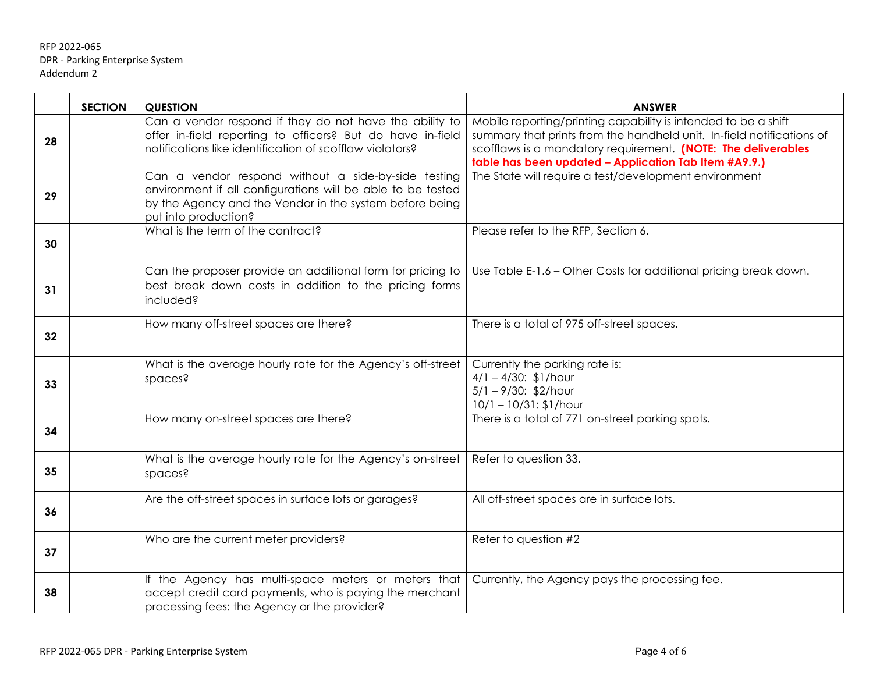|    | <b>SECTION</b> | <b>QUESTION</b>                                                                                                                                                                                       | <b>ANSWER</b>                                                                                                                                                                                                                                                     |
|----|----------------|-------------------------------------------------------------------------------------------------------------------------------------------------------------------------------------------------------|-------------------------------------------------------------------------------------------------------------------------------------------------------------------------------------------------------------------------------------------------------------------|
| 28 |                | Can a vendor respond if they do not have the ability to<br>offer in-field reporting to officers? But do have in-field<br>notifications like identification of scofflaw violators?                     | Mobile reporting/printing capability is intended to be a shift<br>summary that prints from the handheld unit. In-field notifications of<br>scofflaws is a mandatory requirement. (NOTE: The deliverables<br>table has been updated - Application Tab Item #A9.9.) |
| 29 |                | Can a vendor respond without a side-by-side testing<br>environment if all configurations will be able to be tested<br>by the Agency and the Vendor in the system before being<br>put into production? | The State will require a test/development environment                                                                                                                                                                                                             |
| 30 |                | What is the term of the contract?                                                                                                                                                                     | Please refer to the RFP, Section 6.                                                                                                                                                                                                                               |
| 31 |                | Can the proposer provide an additional form for pricing to<br>best break down costs in addition to the pricing forms<br>included?                                                                     | Use Table E-1.6 - Other Costs for additional pricing break down.                                                                                                                                                                                                  |
| 32 |                | How many off-street spaces are there?                                                                                                                                                                 | There is a total of 975 off-street spaces.                                                                                                                                                                                                                        |
| 33 |                | What is the average hourly rate for the Agency's off-street<br>spaces?                                                                                                                                | Currently the parking rate is:<br>$4/1 - 4/30$ : \$1/hour<br>$5/1 - 9/30$ : \$2/hour<br>$10/1 - 10/31$ : \$1/hour                                                                                                                                                 |
| 34 |                | How many on-street spaces are there?                                                                                                                                                                  | There is a total of 771 on-street parking spots.                                                                                                                                                                                                                  |
| 35 |                | What is the average hourly rate for the Agency's on-street<br>spaces?                                                                                                                                 | Refer to question 33.                                                                                                                                                                                                                                             |
| 36 |                | Are the off-street spaces in surface lots or garages?                                                                                                                                                 | All off-street spaces are in surface lots.                                                                                                                                                                                                                        |
| 37 |                | Who are the current meter providers?                                                                                                                                                                  | Refer to question #2                                                                                                                                                                                                                                              |
| 38 |                | If the Agency has multi-space meters or meters that<br>accept credit card payments, who is paying the merchant<br>processing fees: the Agency or the provider?                                        | Currently, the Agency pays the processing fee.                                                                                                                                                                                                                    |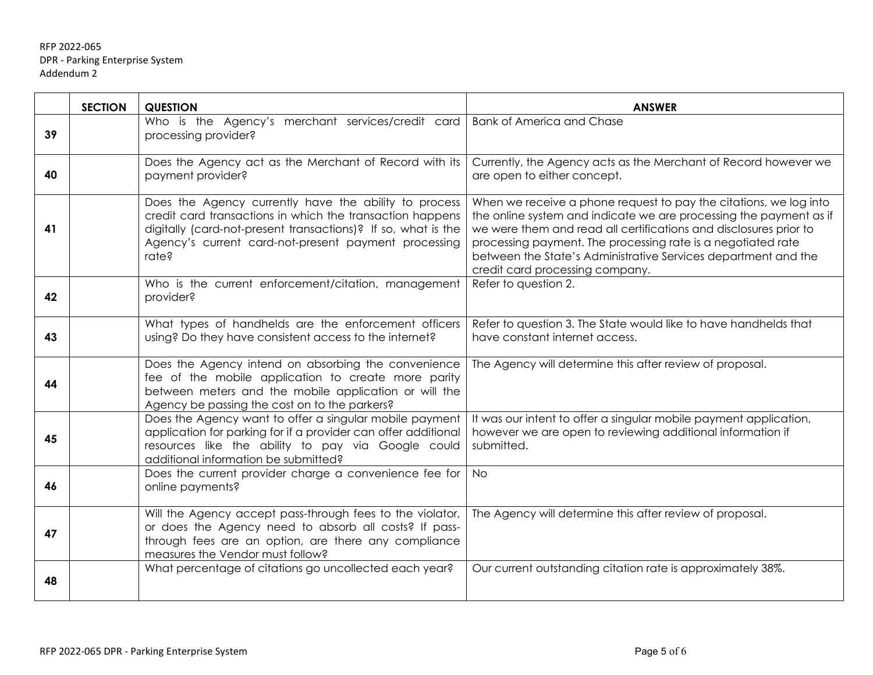|    | <b>SECTION</b> | <b>QUESTION</b>                                                                                                                                                                                                                                      | <b>ANSWER</b>                                                                                                                                                                                                                                                                                                                                                                     |
|----|----------------|------------------------------------------------------------------------------------------------------------------------------------------------------------------------------------------------------------------------------------------------------|-----------------------------------------------------------------------------------------------------------------------------------------------------------------------------------------------------------------------------------------------------------------------------------------------------------------------------------------------------------------------------------|
| 39 |                | Who is the Agency's merchant services/credit card<br>processing provider?                                                                                                                                                                            | <b>Bank of America and Chase</b>                                                                                                                                                                                                                                                                                                                                                  |
| 40 |                | Does the Agency act as the Merchant of Record with its<br>payment provider?                                                                                                                                                                          | Currently, the Agency acts as the Merchant of Record however we<br>are open to either concept.                                                                                                                                                                                                                                                                                    |
| 41 |                | Does the Agency currently have the ability to process<br>credit card transactions in which the transaction happens<br>digitally (card-not-present transactions)? If so, what is the<br>Agency's current card-not-present payment processing<br>rate? | When we receive a phone request to pay the citations, we log into<br>the online system and indicate we are processing the payment as if<br>we were them and read all certifications and disclosures prior to<br>processing payment. The processing rate is a negotiated rate<br>between the State's Administrative Services department and the<br>credit card processing company. |
| 42 |                | Who is the current enforcement/citation, management<br>provider?                                                                                                                                                                                     | Refer to question 2.                                                                                                                                                                                                                                                                                                                                                              |
| 43 |                | What types of handhelds are the enforcement officers<br>using? Do they have consistent access to the internet?                                                                                                                                       | Refer to question 3. The State would like to have handhelds that<br>have constant internet access.                                                                                                                                                                                                                                                                                |
| 44 |                | Does the Agency intend on absorbing the convenience<br>fee of the mobile application to create more parity<br>between meters and the mobile application or will the<br>Agency be passing the cost on to the parkers?                                 | The Agency will determine this after review of proposal.                                                                                                                                                                                                                                                                                                                          |
| 45 |                | Does the Agency want to offer a singular mobile payment<br>application for parking for if a provider can offer additional<br>resources like the ability to pay via Google could<br>additional information be submitted?                              | It was our intent to offer a singular mobile payment application,<br>however we are open to reviewing additional information if<br>submitted.                                                                                                                                                                                                                                     |
| 46 |                | Does the current provider charge a convenience fee for<br>online payments?                                                                                                                                                                           | <b>No</b>                                                                                                                                                                                                                                                                                                                                                                         |
| 47 |                | Will the Agency accept pass-through fees to the violator,<br>or does the Agency need to absorb all costs? If pass-<br>through fees are an option, are there any compliance<br>measures the Vendor must follow?                                       | The Agency will determine this after review of proposal.                                                                                                                                                                                                                                                                                                                          |
| 48 |                | What percentage of citations go uncollected each year?                                                                                                                                                                                               | Our current outstanding citation rate is approximately 38%.                                                                                                                                                                                                                                                                                                                       |